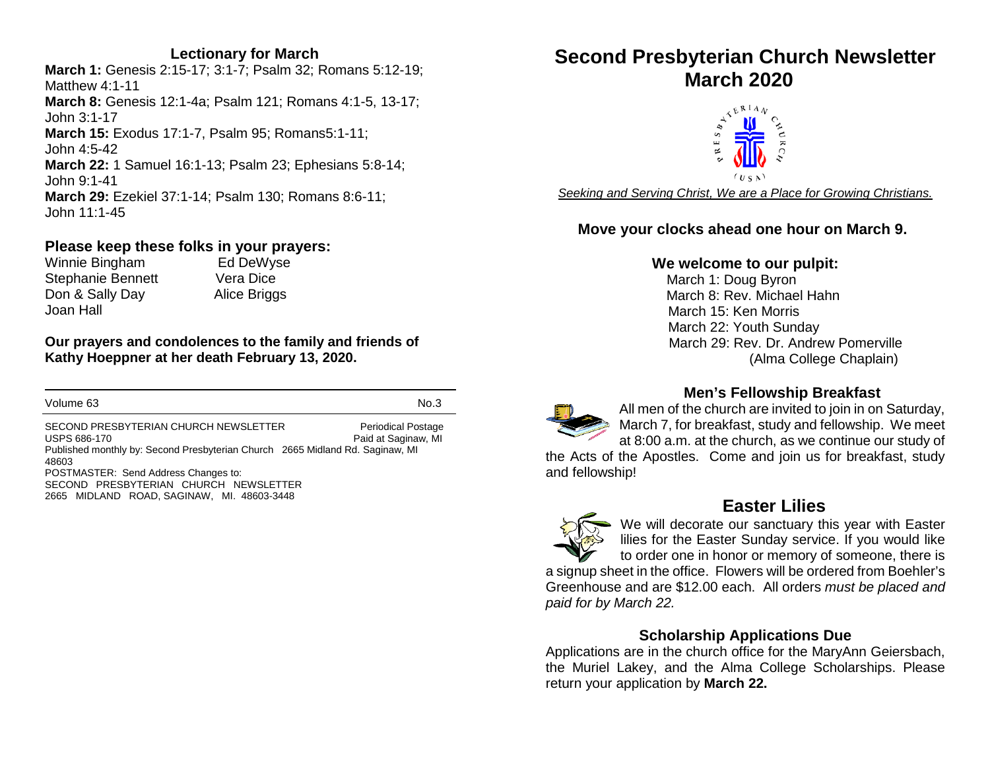#### **Lectionary for March**

**March 1:** Genesis 2:15-17; 3:1-7; Psalm 32; Romans 5:12-19; Matthew 4:1-11 **March 8:** Genesis 12:1-4a; Psalm 121; Romans 4:1-5, 13-17; John 3:1-17 **March 15:** Exodus 17:1-7, Psalm 95; Romans5:1-11; John 4:5-42 **March 22:** 1 Samuel 16:1-13; Psalm 23; Ephesians 5:8-14; John 9:1-41 **March 29:** Ezekiel 37:1-14; Psalm 130; Romans 8:6-11; John 11:1-45

### **Please keep these folks in your prayers:**<br>Winnie Bingham Ed DeWyse

Winnie Bingham Stephanie Bennett Vera Dice Don & Sally Day Alice Briggs Joan Hall

**Our prayers and condolences to the family and friends of Kathy Hoeppner at her death February 13, 2020.** 

Volume 63 No.3

SECOND PRESBYTERIAN CHURCH NEWSLETTER Periodical Postage USPS 686-170 Paid at Saginaw, MI Published monthly by: Second Presbyterian Church 2665 Midland Rd. Saginaw, MI 48603 POSTMASTER: Send Address Changes to: SECOND PRESBYTERIAN CHURCH NEWSLETTER 2665 MIDLAND ROAD, SAGINAW, MI. 48603-3448

# **Second Presbyterian Church Newsletter**



*Seeking and Serving Christ, We are a Place for Growing Christians.*

#### **Move your clocks ahead one hour on March 9.**

#### **We welcome to our pulpit:**

March 1: Doug Byron March 8: Rev. Michael Hahn March 15: Ken Morris March 22: Youth Sunday March 29: Rev. Dr. Andrew Pomerville (Alma College Chaplain)



All men of the church are invited to join in on Saturday, March 7, for breakfast, study and fellowship. We meet at 8:00 a.m. at the church, as we continue our study of

the Acts of the Apostles. Come and join us for breakfast, study and fellowship!



#### **Easter Lilies**

We will decorate our sanctuary this year with Easter lilies for the Easter Sunday service. If you would like to order one in honor or memory of someone, there is

a signup sheet in the office. Flowers will be ordered from Boehler's Greenhouse and are \$12.00 each. All orders *must be placed and paid for by March 22.*

#### **Scholarship Applications Due**

Applications are in the church office for the MaryAnn Geiersbach, the Muriel Lakey, and the Alma College Scholarships. Please return your application by **March 22.**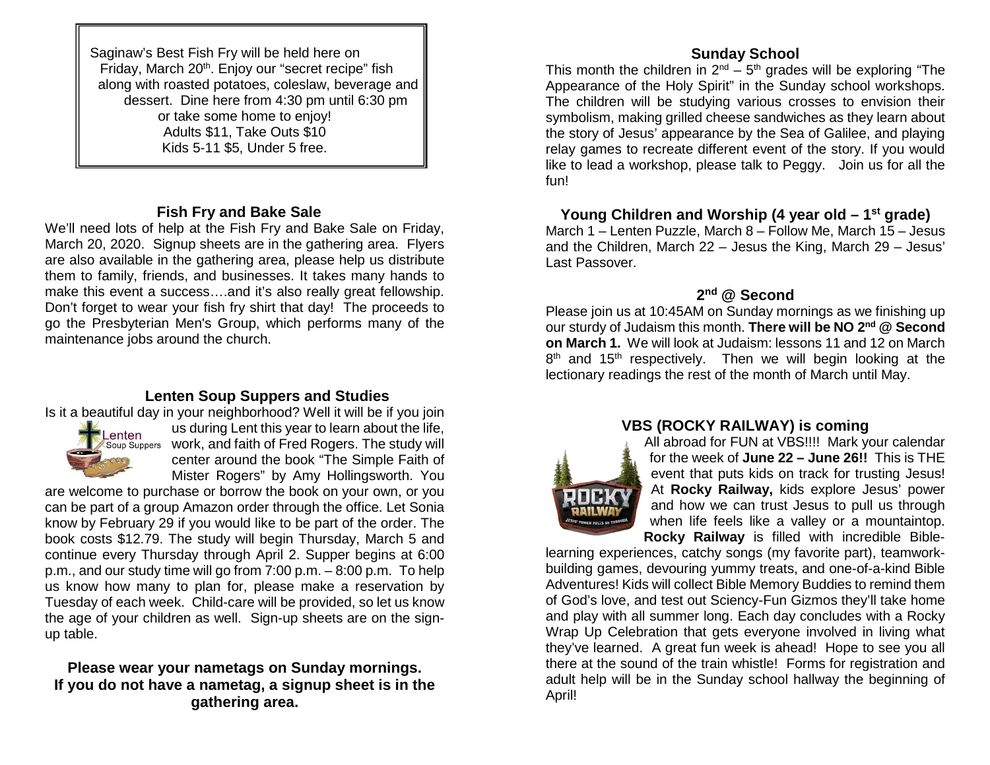Saginaw's Best Fish Fry will be held here on Friday, March 20<sup>th</sup>. Enjoy our "secret recipe" fish along with roasted potatoes, coleslaw, beverage and dessert. Dine here from 4:30 pm until 6:30 pm or take some home to enjoy! Adults \$11, Take Outs \$10 Kids 5-11 \$5, Under 5 free.

#### **Fish Fry and Bake Sale**

We'll need lots of help at the Fish Fry and Bake Sale on Friday, March 20, 2020. Signup sheets are in the gathering area. Flyers are also available in the gathering area, please help us distribute them to family, friends, and businesses. It takes many hands to make this event a success….and it's also really great fellowship. Don't forget to wear your fish fry shirt that day! The proceeds to go the Presbyterian Men's Group, which performs many of the maintenance jobs around the church.

#### **Lenten Soup Suppers and Studies**

Is it a beautiful day in your neighborhood? Well it will be if you join



us during Lent this year to learn about the life, work, and faith of Fred Rogers. The study will center around the book "The Simple Faith of Mister Rogers" by Amy Hollingsworth. You

are welcome to purchase or borrow the book on your own, or you can be part of a group Amazon order through the office. Let Sonia know by February 29 if you would like to be part of the order. The book costs \$12.79. The study will begin Thursday, March 5 and continue every Thursday through April 2. Supper begins at 6:00 p.m., and our study time will go from 7:00 p.m. – 8:00 p.m. To help us know how many to plan for, please make a reservation by Tuesday of each week. Child-care will be provided, so let us know the age of your children as well. Sign-up sheets are on the signup table.

#### **Please wear your nametags on Sunday mornings. If you do not have a nametag, a signup sheet is in the gathering area.**

#### **Sunday School**

This month the children in  $2^{nd}$  –  $5^{th}$  grades will be exploring "The Appearance of the Holy Spirit" in the Sunday school workshops. The children will be studying various crosses to envision their symbolism, making grilled cheese sandwiches as they learn about the story of Jesus' appearance by the Sea of Galilee, and playing relay games to recreate different event of the story. If you would like to lead a workshop, please talk to Peggy. Join us for all the fun!

#### **Young Children and Worship (4 year old – 1st grade)**

March 1 – Lenten Puzzle, March 8 – Follow Me, March 15 – Jesus and the Children, March 22 – Jesus the King, March 29 – Jesus' Last Passover.

#### **2nd @ Second**

Please join us at 10:45AM on Sunday mornings as we finishing up our sturdy of Judaism this month. **There will be NO 2nd @ Second on March 1.** We will look at Judaism: lessons 11 and 12 on March  $8<sup>th</sup>$  and 15<sup>th</sup> respectively. Then we will begin looking at the lectionary readings the rest of the month of March until May.

#### **VBS (ROCKY RAILWAY) is coming**



All abroad for FUN at VBS!!!! Mark your calendar for the week of **June 22 – June 26!!** This is THE event that puts kids on track for trusting Jesus! At **Rocky Railway,** kids explore Jesus' power and how we can trust Jesus to pull us through when life feels like a valley or a mountaintop. **Rocky Railway** is filled with incredible Bible-

learning experiences, catchy songs (my favorite part), teamworkbuilding games, devouring yummy treats, and one-of-a-kind Bible Adventures! Kids will collect Bible Memory Buddies to remind them of God's love, and test out Sciency-Fun Gizmos they'll take home and play with all summer long. Each day concludes with a Rocky Wrap Up Celebration that gets everyone involved in living what they've learned. A great fun week is ahead! Hope to see you all there at the sound of the train whistle! Forms for registration and adult help will be in the Sunday school hallway the beginning of April!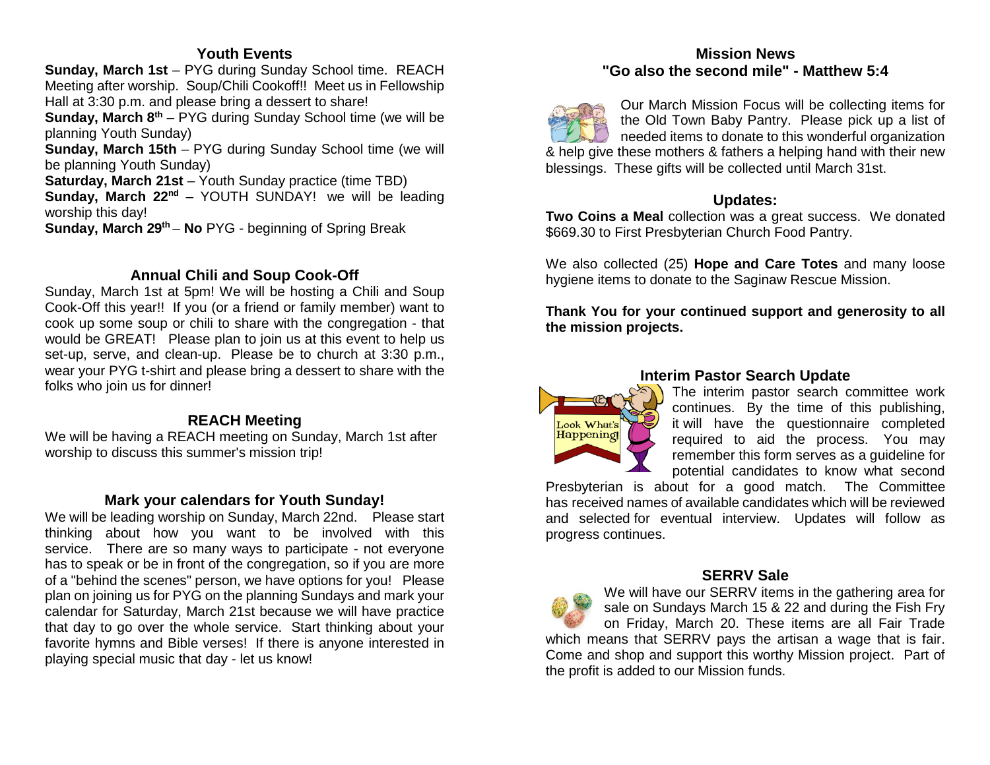#### **Youth Events**

**Sunday, March 1st** – PYG during Sunday School time. REACH Meeting after worship. Soup/Chili Cookoff!! Meet us in Fellowship Hall at 3:30 p.m. and please bring a dessert to share!

**Sunday, March 8<sup>th</sup>** – PYG during Sunday School time (we will be planning Youth Sunday)

**Sunday, March 15th** – PYG during Sunday School time (we will be planning Youth Sunday)

**Saturday, March 21st** – Youth Sunday practice (time TBD)

**Sunday, March 22<sup>nd</sup>** – YOUTH SUNDAY! we will be leading worship this day!

**Sunday, March 29<sup>th</sup> – No** PYG - beginning of Spring Break

#### **Annual Chili and Soup Cook-Off**

Sunday, March 1st at 5pm! We will be hosting a Chili and Soup Cook-Off this year!! If you (or a friend or family member) want to cook up some soup or chili to share with the congregation - that would be GREAT! Please plan to join us at this event to help us set-up, serve, and clean-up. Please be to church at 3:30 p.m., wear your PYG t-shirt and please bring a dessert to share with the folks who join us for dinner!

#### **REACH Meeting**

We will be having a REACH meeting on Sunday, March 1st after worship to discuss this summer's mission trip!

#### **Mark your calendars for Youth Sunday!**

We will be leading worship on Sunday, March 22nd. Please start thinking about how you want to be involved with this service. There are so many ways to participate - not everyone has to speak or be in front of the congregation, so if you are more of a "behind the scenes" person, we have options for you! Please plan on joining us for PYG on the planning Sundays and mark your calendar for Saturday, March 21st because we will have practice that day to go over the whole service. Start thinking about your favorite hymns and Bible verses! If there is anyone interested in playing special music that day - let us know!

#### **Mission News "Go also the second mile" - Matthew 5:4**



Our March Mission Focus will be collecting items for the Old Town Baby Pantry. Please pick up a list of needed items to donate to this wonderful organization & help give these mothers & fathers a helping hand with their new blessings. These gifts will be collected until March 31st.

#### **Updates:**

**Two Coins a Meal** collection was a great success. We donated \$669.30 to First Presbyterian Church Food Pantry.

We also collected (25) **Hope and Care Totes** and many loose hygiene items to donate to the Saginaw Rescue Mission.

**Thank You for your continued support and generosity to all the mission projects.**



#### **Interim Pastor Search Update**

The interim pastor search committee work continues. By the time of this publishing, it will have the questionnaire completed required to aid the process. You may remember this form serves as a guideline for potential candidates to know what second

Presbyterian is about for a good match. The Committee has received names of available candidates which will be reviewed and selected for eventual interview. Updates will follow as progress continues.



#### **SERRV Sale**

We will have our SERRV items in the gathering area for sale on Sundays March 15 & 22 and during the Fish Fry on Friday, March 20. These items are all Fair Trade which means that SERRV pays the artisan a wage that is fair. Come and shop and support this worthy Mission project. Part of the profit is added to our Mission funds.